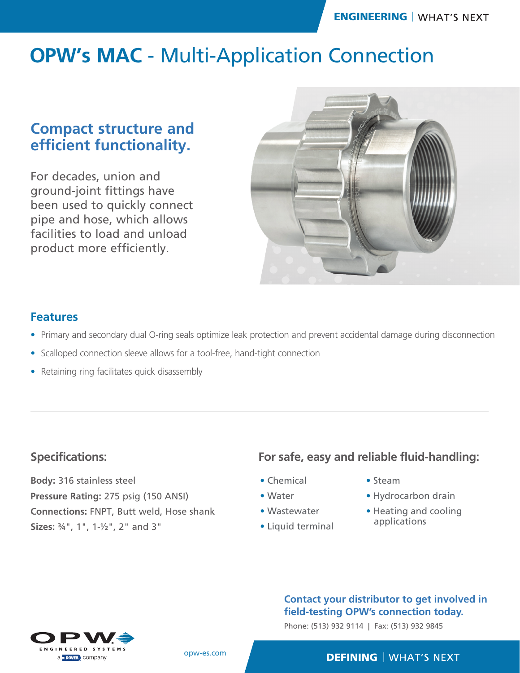# **OPW's MAC** - Multi-Application Connection

# **Compact structure and efficient functionality.**

For decades, union and ground-joint fittings have been used to quickly connect pipe and hose, which allows facilities to load and unload product more efficiently.



### **Features**

- Primary and secondary dual O-ring seals optimize leak protection and prevent accidental damage during disconnection
- Scalloped connection sleeve allows for a tool-free, hand-tight connection
- Retaining ring facilitates quick disassembly

### **Specifications:**

**Body:** 316 stainless steel **Pressure Rating:** 275 psig (150 ANSI) **Connections:** FNPT, Butt weld, Hose shank **Sizes:** ¾", 1", 1-½", 2" and 3"

## **For safe, easy and reliable fluid-handling:**

- Chemical
- Water
- Wastewater
- Liquid terminal
- Steam
- Hydrocarbon drain
- Heating and cooling applications

#### **Contact your distributor to get involved in field-testing OPW's connection today.**

Phone: (513) 932 9114 | Fax: (513) 932 9845



opw-es.com

#### **DEFINING** | WHAT'S NEXT